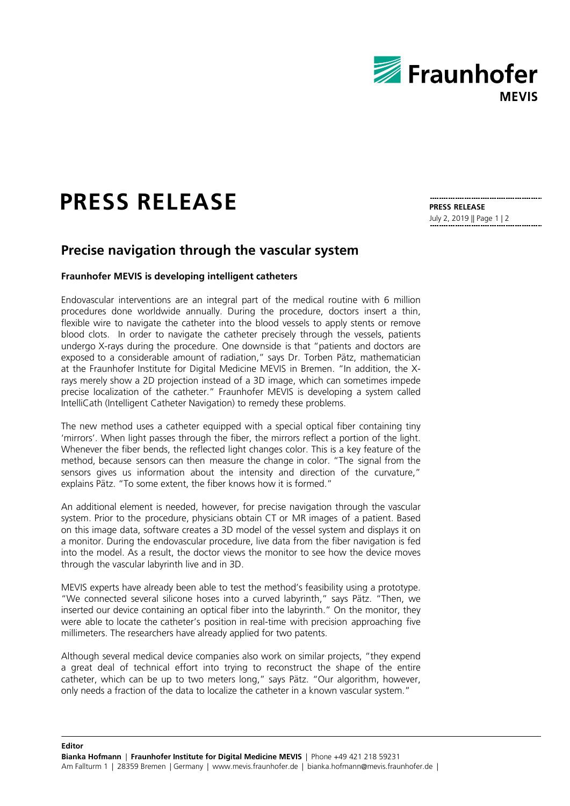

## **PRESS RELEASE**

**PRESS RELEASE**  July 2, 2019 || Page 1 | 2

## **Precise navigation through the vascular system**

## **Fraunhofer MEVIS is developing intelligent catheters**

Endovascular interventions are an integral part of the medical routine with 6 million procedures done worldwide annually. During the procedure, doctors insert a thin, flexible wire to navigate the catheter into the blood vessels to apply stents or remove blood clots. In order to navigate the catheter precisely through the vessels, patients undergo X-rays during the procedure. One downside is that "patients and doctors are exposed to a considerable amount of radiation," says Dr. Torben Pätz, mathematician at the Fraunhofer Institute for Digital Medicine MEVIS in Bremen. "In addition, the Xrays merely show a 2D projection instead of a 3D image, which can sometimes impede precise localization of the catheter." Fraunhofer MEVIS is developing a system called IntelliCath (Intelligent Catheter Navigation) to remedy these problems.

The new method uses a catheter equipped with a special optical fiber containing tiny 'mirrors'. When light passes through the fiber, the mirrors reflect a portion of the light. Whenever the fiber bends, the reflected light changes color. This is a key feature of the method, because sensors can then measure the change in color. "The signal from the sensors gives us information about the intensity and direction of the curvature," explains Pätz. "To some extent, the fiber knows how it is formed."

An additional element is needed, however, for precise navigation through the vascular system. Prior to the procedure, physicians obtain CT or MR images of a patient. Based on this image data, software creates a 3D model of the vessel system and displays it on a monitor. During the endovascular procedure, live data from the fiber navigation is fed into the model. As a result, the doctor views the monitor to see how the device moves through the vascular labyrinth live and in 3D.

MEVIS experts have already been able to test the method's feasibility using a prototype. "We connected several silicone hoses into a curved labyrinth," says Pätz. "Then, we inserted our device containing an optical fiber into the labyrinth." On the monitor, they were able to locate the catheter's position in real-time with precision approaching five millimeters. The researchers have already applied for two patents.

Although several medical device companies also work on similar projects, "they expend a great deal of technical effort into trying to reconstruct the shape of the entire catheter, which can be up to two meters long," says Pätz. "Our algorithm, however, only needs a fraction of the data to localize the catheter in a known vascular system."

**Editor**